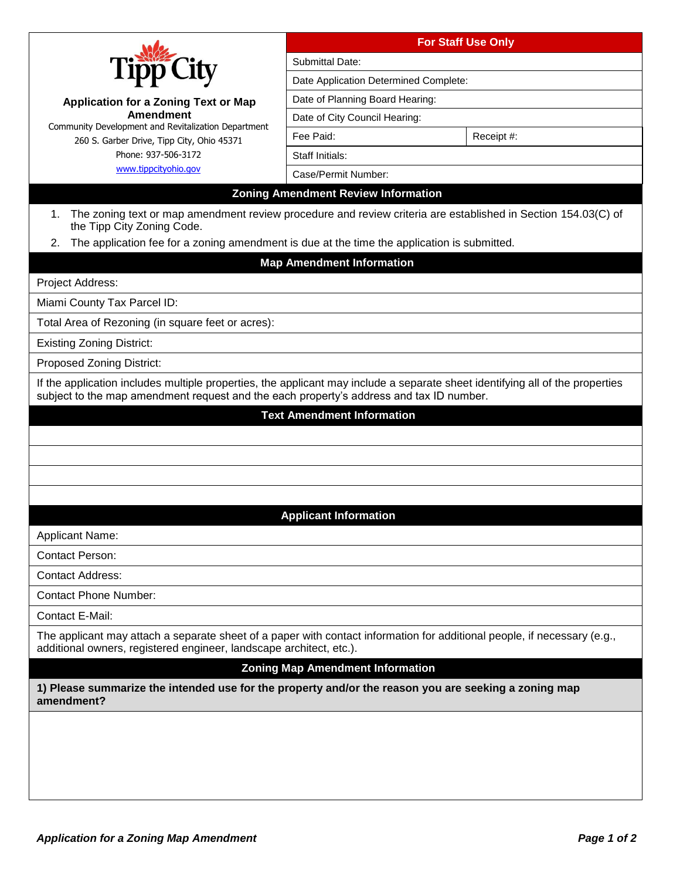|                                                                                                                                                                                                                          | <b>For Staff Use Only</b>                  |  |            |  |
|--------------------------------------------------------------------------------------------------------------------------------------------------------------------------------------------------------------------------|--------------------------------------------|--|------------|--|
|                                                                                                                                                                                                                          | Submittal Date:                            |  |            |  |
|                                                                                                                                                                                                                          | Date Application Determined Complete:      |  |            |  |
| <b>Application for a Zoning Text or Map</b>                                                                                                                                                                              | Date of Planning Board Hearing:            |  |            |  |
| <b>Amendment</b>                                                                                                                                                                                                         | Date of City Council Hearing:              |  |            |  |
| Community Development and Revitalization Department<br>260 S. Garber Drive, Tipp City, Ohio 45371                                                                                                                        | Fee Paid:                                  |  | Receipt #: |  |
| Phone: 937-506-3172                                                                                                                                                                                                      | Staff Initials:                            |  |            |  |
| www.tippcityohio.gov                                                                                                                                                                                                     | Case/Permit Number:                        |  |            |  |
|                                                                                                                                                                                                                          | <b>Zoning Amendment Review Information</b> |  |            |  |
| The zoning text or map amendment review procedure and review criteria are established in Section 154.03(C) of<br>1.<br>the Tipp City Zoning Code.                                                                        |                                            |  |            |  |
| The application fee for a zoning amendment is due at the time the application is submitted.<br>2.                                                                                                                        |                                            |  |            |  |
|                                                                                                                                                                                                                          | <b>Map Amendment Information</b>           |  |            |  |
| Project Address:                                                                                                                                                                                                         |                                            |  |            |  |
| Miami County Tax Parcel ID:                                                                                                                                                                                              |                                            |  |            |  |
| Total Area of Rezoning (in square feet or acres):                                                                                                                                                                        |                                            |  |            |  |
| <b>Existing Zoning District:</b>                                                                                                                                                                                         |                                            |  |            |  |
| <b>Proposed Zoning District:</b>                                                                                                                                                                                         |                                            |  |            |  |
| If the application includes multiple properties, the applicant may include a separate sheet identifying all of the properties<br>subject to the map amendment request and the each property's address and tax ID number. |                                            |  |            |  |
| <b>Text Amendment Information</b>                                                                                                                                                                                        |                                            |  |            |  |
|                                                                                                                                                                                                                          |                                            |  |            |  |
|                                                                                                                                                                                                                          |                                            |  |            |  |
|                                                                                                                                                                                                                          |                                            |  |            |  |
|                                                                                                                                                                                                                          |                                            |  |            |  |
|                                                                                                                                                                                                                          | <b>Applicant Information</b>               |  |            |  |
| Applicant Name:                                                                                                                                                                                                          |                                            |  |            |  |
| <b>Contact Person:</b>                                                                                                                                                                                                   |                                            |  |            |  |
| <b>Contact Address:</b>                                                                                                                                                                                                  |                                            |  |            |  |
| <b>Contact Phone Number:</b>                                                                                                                                                                                             |                                            |  |            |  |
| Contact E-Mail:                                                                                                                                                                                                          |                                            |  |            |  |
| The applicant may attach a separate sheet of a paper with contact information for additional people, if necessary (e.g.,                                                                                                 |                                            |  |            |  |
| additional owners, registered engineer, landscape architect, etc.).                                                                                                                                                      |                                            |  |            |  |
|                                                                                                                                                                                                                          | <b>Zoning Map Amendment Information</b>    |  |            |  |
| 1) Please summarize the intended use for the property and/or the reason you are seeking a zoning map<br>amendment?                                                                                                       |                                            |  |            |  |
|                                                                                                                                                                                                                          |                                            |  |            |  |